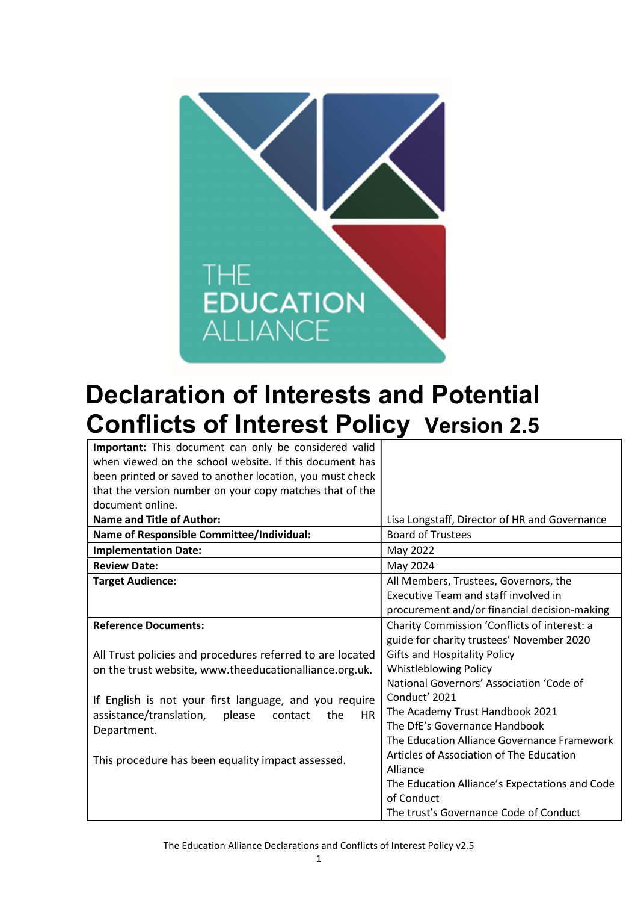

# Declaration of Interests and Potential Conflicts of Interest Policy Version 2.5

| Important: This document can only be considered valid            |                                                |  |
|------------------------------------------------------------------|------------------------------------------------|--|
| when viewed on the school website. If this document has          |                                                |  |
| been printed or saved to another location, you must check        |                                                |  |
| that the version number on your copy matches that of the         |                                                |  |
| document online.                                                 |                                                |  |
| <b>Name and Title of Author:</b>                                 | Lisa Longstaff, Director of HR and Governance  |  |
| <b>Name of Responsible Committee/Individual:</b>                 | <b>Board of Trustees</b>                       |  |
| <b>Implementation Date:</b>                                      | May 2022                                       |  |
| <b>Review Date:</b>                                              | May 2024                                       |  |
| <b>Target Audience:</b>                                          | All Members, Trustees, Governors, the          |  |
|                                                                  | <b>Executive Team and staff involved in</b>    |  |
|                                                                  | procurement and/or financial decision-making   |  |
| <b>Reference Documents:</b>                                      | Charity Commission 'Conflicts of interest: a   |  |
|                                                                  | guide for charity trustees' November 2020      |  |
| All Trust policies and procedures referred to are located        | <b>Gifts and Hospitality Policy</b>            |  |
| on the trust website, www.theeducationalliance.org.uk.           | <b>Whistleblowing Policy</b>                   |  |
|                                                                  | National Governors' Association 'Code of       |  |
| If English is not your first language, and you require           | Conduct' 2021                                  |  |
| assistance/translation,<br>please<br>the<br><b>HR</b><br>contact | The Academy Trust Handbook 2021                |  |
| Department.                                                      | The DfE's Governance Handbook                  |  |
|                                                                  | The Education Alliance Governance Framework    |  |
| This procedure has been equality impact assessed.                | Articles of Association of The Education       |  |
|                                                                  | Alliance                                       |  |
|                                                                  | The Education Alliance's Expectations and Code |  |
|                                                                  | of Conduct                                     |  |
|                                                                  | The trust's Governance Code of Conduct         |  |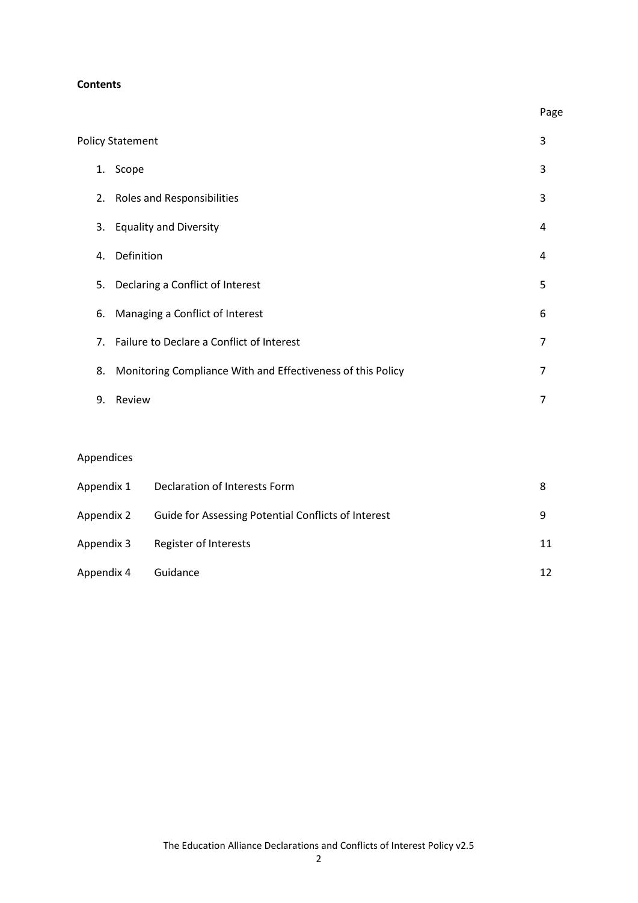#### **Contents**

| <b>Policy Statement</b> |                                                             | 3 |
|-------------------------|-------------------------------------------------------------|---|
| Scope<br>1.             |                                                             | 3 |
| 2.                      | <b>Roles and Responsibilities</b>                           | 3 |
| 3.                      | <b>Equality and Diversity</b>                               | 4 |
| Definition<br>4.        |                                                             | 4 |
| 5.                      | Declaring a Conflict of Interest                            | 5 |
| 6.                      | Managing a Conflict of Interest                             | 6 |
|                         | 7. Failure to Declare a Conflict of Interest                | 7 |
| 8.                      | Monitoring Compliance With and Effectiveness of this Policy | 7 |
| 9.<br>Review            |                                                             | 7 |

**Page** and the contract of the contract of the contract of the contract of the contract of the contract of the contract of the contract of the contract of the contract of the contract of the contract of the contract of the

## Appendices

| Appendix 1 | Declaration of Interests Form                       | 8  |
|------------|-----------------------------------------------------|----|
| Appendix 2 | Guide for Assessing Potential Conflicts of Interest | q  |
| Appendix 3 | Register of Interests                               | 11 |
| Appendix 4 | Guidance                                            | 12 |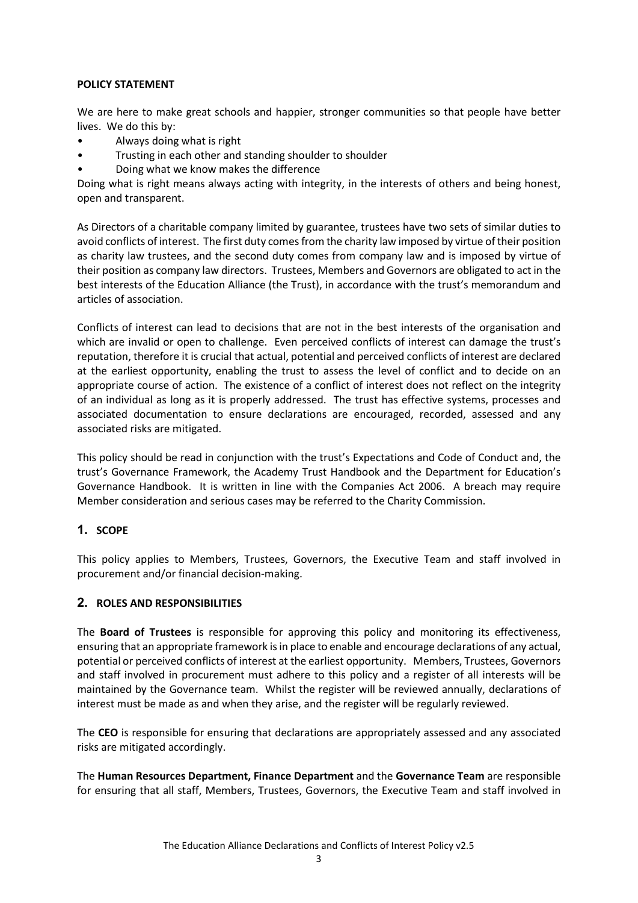#### POLICY STATEMENT

We are here to make great schools and happier, stronger communities so that people have better lives. We do this by:

- Always doing what is right
- Trusting in each other and standing shoulder to shoulder
- Doing what we know makes the difference

Doing what is right means always acting with integrity, in the interests of others and being honest, open and transparent.

As Directors of a charitable company limited by guarantee, trustees have two sets of similar duties to avoid conflicts of interest. The first duty comes from the charity law imposed by virtue of their position as charity law trustees, and the second duty comes from company law and is imposed by virtue of their position as company law directors. Trustees, Members and Governors are obligated to act in the best interests of the Education Alliance (the Trust), in accordance with the trust's memorandum and articles of association.

Conflicts of interest can lead to decisions that are not in the best interests of the organisation and which are invalid or open to challenge. Even perceived conflicts of interest can damage the trust's reputation, therefore it is crucial that actual, potential and perceived conflicts of interest are declared at the earliest opportunity, enabling the trust to assess the level of conflict and to decide on an appropriate course of action. The existence of a conflict of interest does not reflect on the integrity of an individual as long as it is properly addressed. The trust has effective systems, processes and associated documentation to ensure declarations are encouraged, recorded, assessed and any associated risks are mitigated.

This policy should be read in conjunction with the trust's Expectations and Code of Conduct and, the trust's Governance Framework, the Academy Trust Handbook and the Department for Education's Governance Handbook. It is written in line with the Companies Act 2006. A breach may require Member consideration and serious cases may be referred to the Charity Commission.

## 1. SCOPE

This policy applies to Members, Trustees, Governors, the Executive Team and staff involved in procurement and/or financial decision-making.

## 2. ROLES AND RESPONSIBILITIES

The **Board of Trustees** is responsible for approving this policy and monitoring its effectiveness, ensuring that an appropriate framework is in place to enable and encourage declarations of any actual, potential or perceived conflicts of interest at the earliest opportunity. Members, Trustees, Governors and staff involved in procurement must adhere to this policy and a register of all interests will be maintained by the Governance team. Whilst the register will be reviewed annually, declarations of interest must be made as and when they arise, and the register will be regularly reviewed.

The CEO is responsible for ensuring that declarations are appropriately assessed and any associated risks are mitigated accordingly.

The Human Resources Department, Finance Department and the Governance Team are responsible for ensuring that all staff, Members, Trustees, Governors, the Executive Team and staff involved in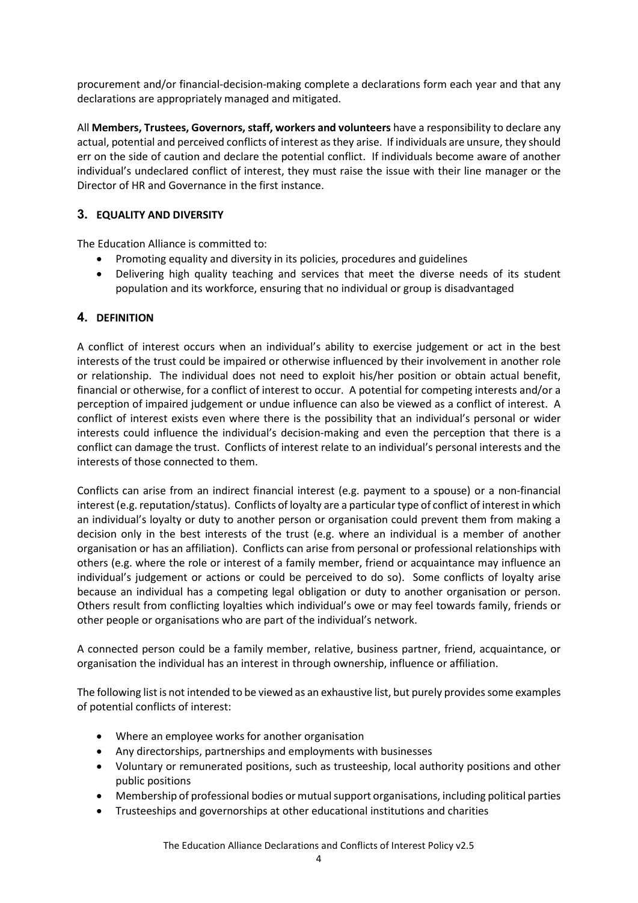procurement and/or financial-decision-making complete a declarations form each year and that any declarations are appropriately managed and mitigated.

All Members, Trustees, Governors, staff, workers and volunteers have a responsibility to declare any actual, potential and perceived conflicts of interest as they arise. If individuals are unsure, they should err on the side of caution and declare the potential conflict. If individuals become aware of another individual's undeclared conflict of interest, they must raise the issue with their line manager or the Director of HR and Governance in the first instance.

## 3. EQUALITY AND DIVERSITY

The Education Alliance is committed to:

- Promoting equality and diversity in its policies, procedures and guidelines
- Delivering high quality teaching and services that meet the diverse needs of its student population and its workforce, ensuring that no individual or group is disadvantaged

## 4. DEFINITION

A conflict of interest occurs when an individual's ability to exercise judgement or act in the best interests of the trust could be impaired or otherwise influenced by their involvement in another role or relationship. The individual does not need to exploit his/her position or obtain actual benefit, financial or otherwise, for a conflict of interest to occur. A potential for competing interests and/or a perception of impaired judgement or undue influence can also be viewed as a conflict of interest. A conflict of interest exists even where there is the possibility that an individual's personal or wider interests could influence the individual's decision-making and even the perception that there is a conflict can damage the trust. Conflicts of interest relate to an individual's personal interests and the interests of those connected to them.

Conflicts can arise from an indirect financial interest (e.g. payment to a spouse) or a non-financial interest (e.g. reputation/status). Conflicts of loyalty are a particular type of conflict of interest in which an individual's loyalty or duty to another person or organisation could prevent them from making a decision only in the best interests of the trust (e.g. where an individual is a member of another organisation or has an affiliation). Conflicts can arise from personal or professional relationships with others (e.g. where the role or interest of a family member, friend or acquaintance may influence an individual's judgement or actions or could be perceived to do so). Some conflicts of loyalty arise because an individual has a competing legal obligation or duty to another organisation or person. Others result from conflicting loyalties which individual's owe or may feel towards family, friends or other people or organisations who are part of the individual's network.

A connected person could be a family member, relative, business partner, friend, acquaintance, or organisation the individual has an interest in through ownership, influence or affiliation.

The following list is not intended to be viewed as an exhaustive list, but purely provides some examples of potential conflicts of interest:

- Where an employee works for another organisation
- Any directorships, partnerships and employments with businesses
- Voluntary or remunerated positions, such as trusteeship, local authority positions and other public positions
- Membership of professional bodies or mutual support organisations, including political parties
- Trusteeships and governorships at other educational institutions and charities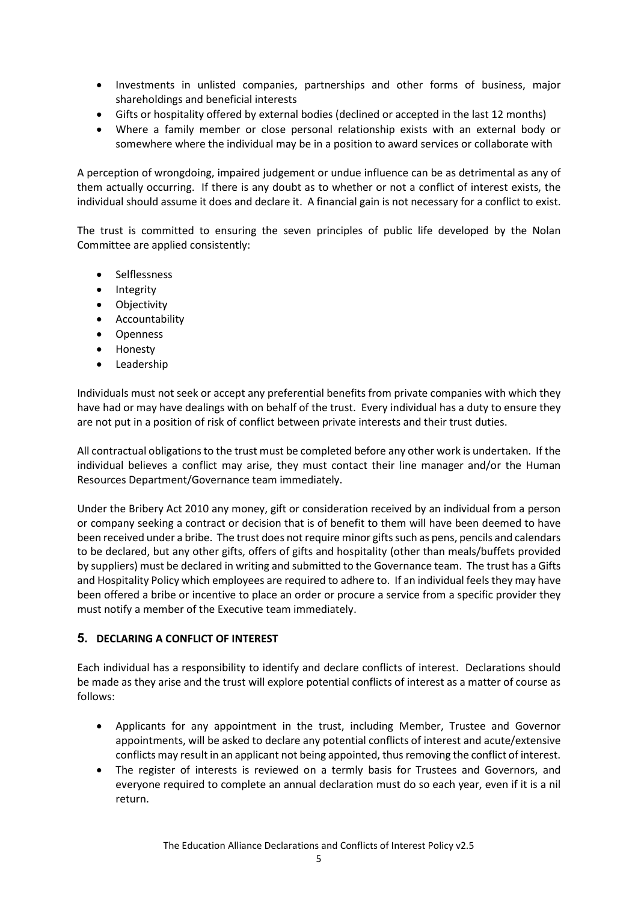- Investments in unlisted companies, partnerships and other forms of business, major shareholdings and beneficial interests
- Gifts or hospitality offered by external bodies (declined or accepted in the last 12 months)
- Where a family member or close personal relationship exists with an external body or somewhere where the individual may be in a position to award services or collaborate with

A perception of wrongdoing, impaired judgement or undue influence can be as detrimental as any of them actually occurring. If there is any doubt as to whether or not a conflict of interest exists, the individual should assume it does and declare it. A financial gain is not necessary for a conflict to exist.

The trust is committed to ensuring the seven principles of public life developed by the Nolan Committee are applied consistently:

- Selflessness
- Integrity
- **•** Objectivity
- Accountability
- Openness
- Honesty
- Leadership

Individuals must not seek or accept any preferential benefits from private companies with which they have had or may have dealings with on behalf of the trust. Every individual has a duty to ensure they are not put in a position of risk of conflict between private interests and their trust duties.

All contractual obligations to the trust must be completed before any other work is undertaken. If the individual believes a conflict may arise, they must contact their line manager and/or the Human Resources Department/Governance team immediately.

Under the Bribery Act 2010 any money, gift or consideration received by an individual from a person or company seeking a contract or decision that is of benefit to them will have been deemed to have been received under a bribe. The trust does not require minor gifts such as pens, pencils and calendars to be declared, but any other gifts, offers of gifts and hospitality (other than meals/buffets provided by suppliers) must be declared in writing and submitted to the Governance team. The trust has a Gifts and Hospitality Policy which employees are required to adhere to. If an individual feels they may have been offered a bribe or incentive to place an order or procure a service from a specific provider they must notify a member of the Executive team immediately.

## 5. DECLARING A CONFLICT OF INTEREST

Each individual has a responsibility to identify and declare conflicts of interest. Declarations should be made as they arise and the trust will explore potential conflicts of interest as a matter of course as follows:

- Applicants for any appointment in the trust, including Member, Trustee and Governor appointments, will be asked to declare any potential conflicts of interest and acute/extensive conflicts may result in an applicant not being appointed, thus removing the conflict of interest.
- The register of interests is reviewed on a termly basis for Trustees and Governors, and everyone required to complete an annual declaration must do so each year, even if it is a nil return.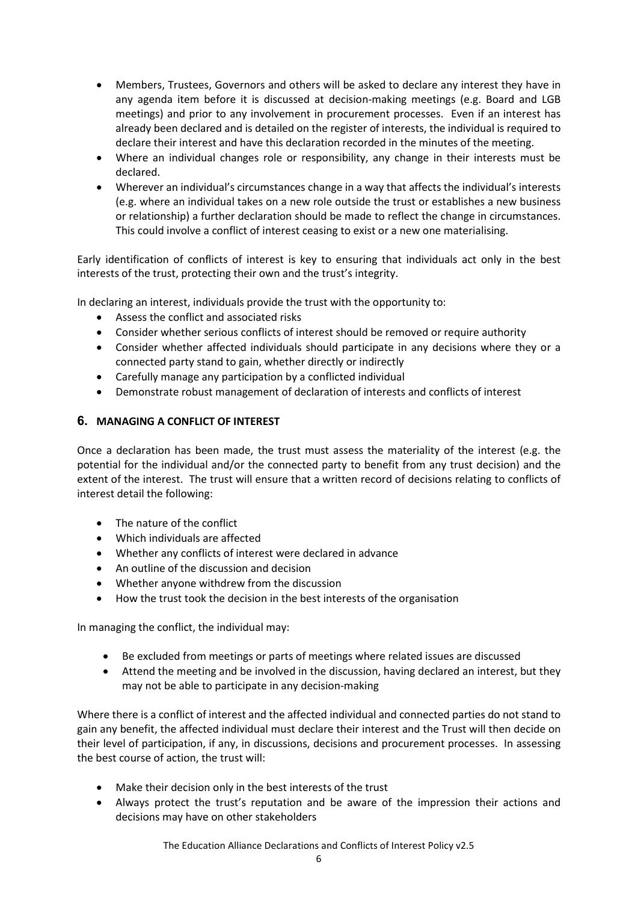- Members, Trustees, Governors and others will be asked to declare any interest they have in any agenda item before it is discussed at decision-making meetings (e.g. Board and LGB meetings) and prior to any involvement in procurement processes. Even if an interest has already been declared and is detailed on the register of interests, the individual is required to declare their interest and have this declaration recorded in the minutes of the meeting.
- Where an individual changes role or responsibility, any change in their interests must be declared.
- Wherever an individual's circumstances change in a way that affects the individual's interests (e.g. where an individual takes on a new role outside the trust or establishes a new business or relationship) a further declaration should be made to reflect the change in circumstances. This could involve a conflict of interest ceasing to exist or a new one materialising.

Early identification of conflicts of interest is key to ensuring that individuals act only in the best interests of the trust, protecting their own and the trust's integrity.

In declaring an interest, individuals provide the trust with the opportunity to:

- Assess the conflict and associated risks
- Consider whether serious conflicts of interest should be removed or require authority
- Consider whether affected individuals should participate in any decisions where they or a connected party stand to gain, whether directly or indirectly
- Carefully manage any participation by a conflicted individual
- Demonstrate robust management of declaration of interests and conflicts of interest

#### 6. MANAGING A CONFLICT OF INTEREST

Once a declaration has been made, the trust must assess the materiality of the interest (e.g. the potential for the individual and/or the connected party to benefit from any trust decision) and the extent of the interest. The trust will ensure that a written record of decisions relating to conflicts of interest detail the following:

- The nature of the conflict
- Which individuals are affected
- Whether any conflicts of interest were declared in advance
- An outline of the discussion and decision
- Whether anyone withdrew from the discussion
- How the trust took the decision in the best interests of the organisation

In managing the conflict, the individual may:

- Be excluded from meetings or parts of meetings where related issues are discussed
- Attend the meeting and be involved in the discussion, having declared an interest, but they may not be able to participate in any decision-making

Where there is a conflict of interest and the affected individual and connected parties do not stand to gain any benefit, the affected individual must declare their interest and the Trust will then decide on their level of participation, if any, in discussions, decisions and procurement processes. In assessing the best course of action, the trust will:

- Make their decision only in the best interests of the trust
- Always protect the trust's reputation and be aware of the impression their actions and decisions may have on other stakeholders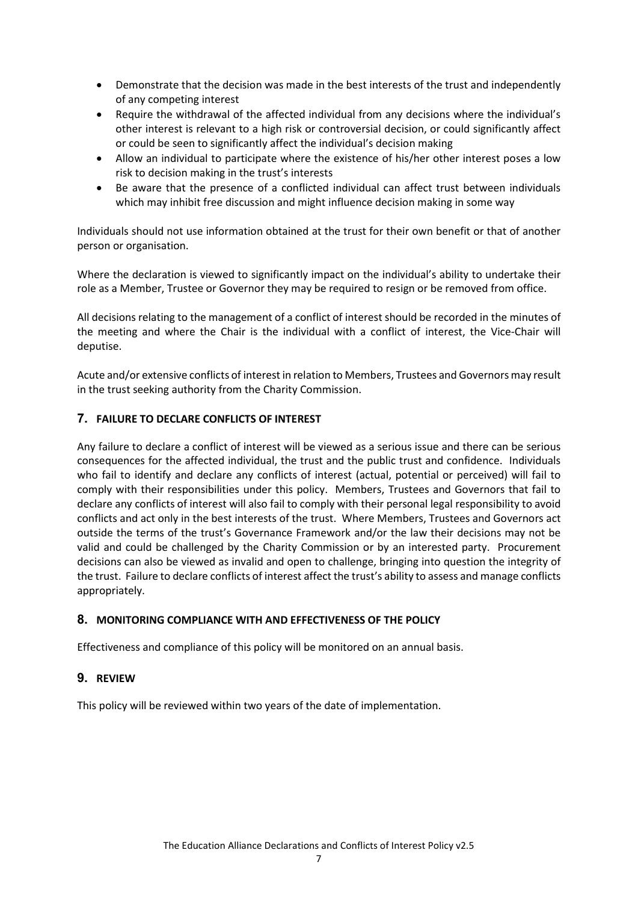- Demonstrate that the decision was made in the best interests of the trust and independently of any competing interest
- Require the withdrawal of the affected individual from any decisions where the individual's other interest is relevant to a high risk or controversial decision, or could significantly affect or could be seen to significantly affect the individual's decision making
- Allow an individual to participate where the existence of his/her other interest poses a low risk to decision making in the trust's interests
- Be aware that the presence of a conflicted individual can affect trust between individuals which may inhibit free discussion and might influence decision making in some way

Individuals should not use information obtained at the trust for their own benefit or that of another person or organisation.

Where the declaration is viewed to significantly impact on the individual's ability to undertake their role as a Member, Trustee or Governor they may be required to resign or be removed from office.

All decisions relating to the management of a conflict of interest should be recorded in the minutes of the meeting and where the Chair is the individual with a conflict of interest, the Vice-Chair will deputise.

Acute and/or extensive conflicts of interest in relation to Members, Trustees and Governors may result in the trust seeking authority from the Charity Commission.

## 7. FAILURE TO DECLARE CONFLICTS OF INTEREST

Any failure to declare a conflict of interest will be viewed as a serious issue and there can be serious consequences for the affected individual, the trust and the public trust and confidence. Individuals who fail to identify and declare any conflicts of interest (actual, potential or perceived) will fail to comply with their responsibilities under this policy. Members, Trustees and Governors that fail to declare any conflicts of interest will also fail to comply with their personal legal responsibility to avoid conflicts and act only in the best interests of the trust. Where Members, Trustees and Governors act outside the terms of the trust's Governance Framework and/or the law their decisions may not be valid and could be challenged by the Charity Commission or by an interested party. Procurement decisions can also be viewed as invalid and open to challenge, bringing into question the integrity of the trust. Failure to declare conflicts of interest affect the trust's ability to assess and manage conflicts appropriately.

## 8. MONITORING COMPLIANCE WITH AND EFFECTIVENESS OF THE POLICY

Effectiveness and compliance of this policy will be monitored on an annual basis.

## 9. REVIEW

This policy will be reviewed within two years of the date of implementation.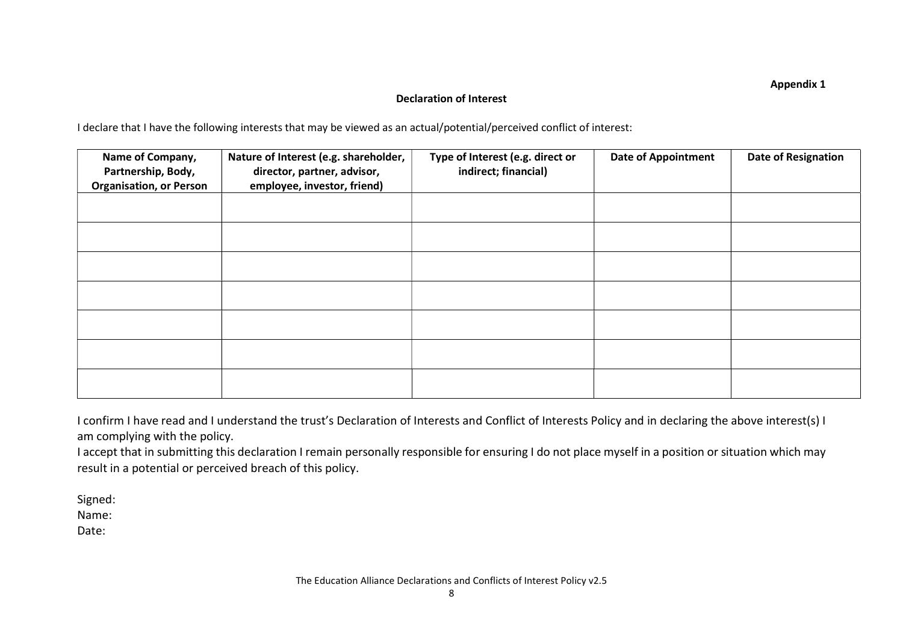Appendix 1

## Declaration of Interest

I declare that I have the following interests that may be viewed as an actual/potential/perceived conflict of interest:

| Name of Company,<br>Partnership, Body,<br><b>Organisation, or Person</b> | Nature of Interest (e.g. shareholder,<br>director, partner, advisor,<br>employee, investor, friend) | Type of Interest (e.g. direct or<br>indirect; financial) | <b>Date of Appointment</b> | <b>Date of Resignation</b> |
|--------------------------------------------------------------------------|-----------------------------------------------------------------------------------------------------|----------------------------------------------------------|----------------------------|----------------------------|
|                                                                          |                                                                                                     |                                                          |                            |                            |
|                                                                          |                                                                                                     |                                                          |                            |                            |
|                                                                          |                                                                                                     |                                                          |                            |                            |
|                                                                          |                                                                                                     |                                                          |                            |                            |
|                                                                          |                                                                                                     |                                                          |                            |                            |
|                                                                          |                                                                                                     |                                                          |                            |                            |
|                                                                          |                                                                                                     |                                                          |                            |                            |

I confirm I have read and I understand the trust's Declaration of Interests and Conflict of Interests Policy and in declaring the above interest(s) I am complying with the policy.

I accept that in submitting this declaration I remain personally responsible for ensuring I do not place myself in a position or situation which may result in a potential or perceived breach of this policy.

Signed:

Name:

Date: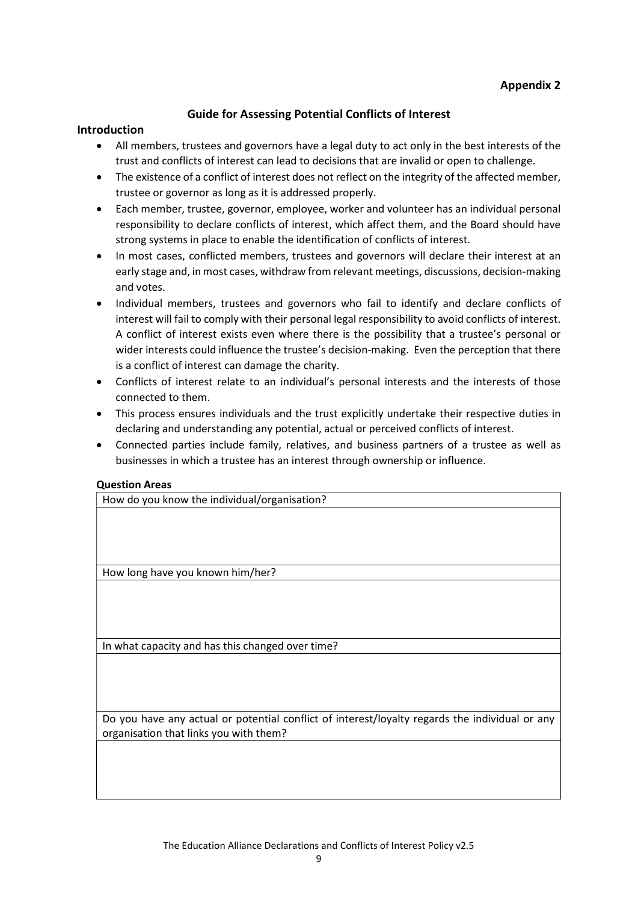#### Guide for Assessing Potential Conflicts of Interest

#### Introduction

- All members, trustees and governors have a legal duty to act only in the best interests of the trust and conflicts of interest can lead to decisions that are invalid or open to challenge.
- The existence of a conflict of interest does not reflect on the integrity of the affected member, trustee or governor as long as it is addressed properly.
- Each member, trustee, governor, employee, worker and volunteer has an individual personal responsibility to declare conflicts of interest, which affect them, and the Board should have strong systems in place to enable the identification of conflicts of interest.
- In most cases, conflicted members, trustees and governors will declare their interest at an early stage and, in most cases, withdraw from relevant meetings, discussions, decision-making and votes.
- Individual members, trustees and governors who fail to identify and declare conflicts of interest will fail to comply with their personal legal responsibility to avoid conflicts of interest. A conflict of interest exists even where there is the possibility that a trustee's personal or wider interests could influence the trustee's decision-making. Even the perception that there is a conflict of interest can damage the charity.
- Conflicts of interest relate to an individual's personal interests and the interests of those connected to them.
- This process ensures individuals and the trust explicitly undertake their respective duties in declaring and understanding any potential, actual or perceived conflicts of interest.
- Connected parties include family, relatives, and business partners of a trustee as well as businesses in which a trustee has an interest through ownership or influence.

#### Question Areas

How do you know the individual/organisation?

How long have you known him/her?

In what capacity and has this changed over time?

Do you have any actual or potential conflict of interest/loyalty regards the individual or any organisation that links you with them?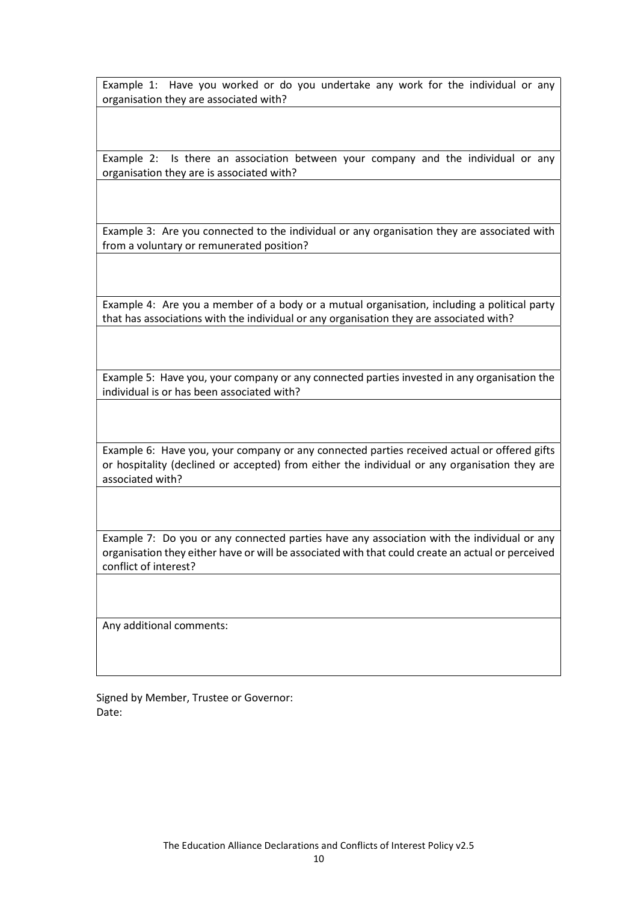Example 1: Have you worked or do you undertake any work for the individual or any organisation they are associated with?

Example 2: Is there an association between your company and the individual or any organisation they are is associated with?

Example 3: Are you connected to the individual or any organisation they are associated with from a voluntary or remunerated position?

Example 4: Are you a member of a body or a mutual organisation, including a political party that has associations with the individual or any organisation they are associated with?

Example 5: Have you, your company or any connected parties invested in any organisation the individual is or has been associated with?

Example 6: Have you, your company or any connected parties received actual or offered gifts or hospitality (declined or accepted) from either the individual or any organisation they are associated with?

Example 7: Do you or any connected parties have any association with the individual or any organisation they either have or will be associated with that could create an actual or perceived conflict of interest?

Any additional comments:

Signed by Member, Trustee or Governor: Date: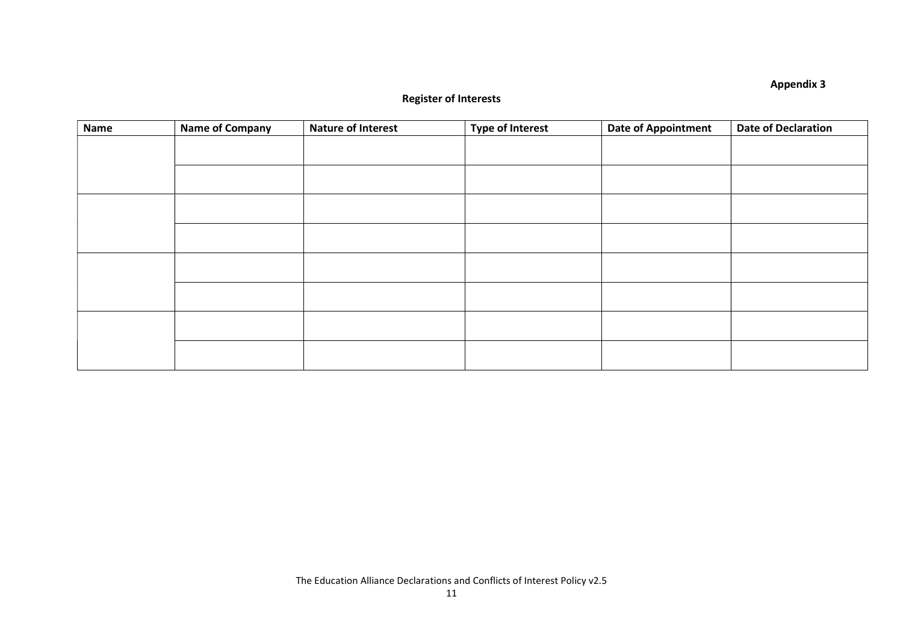## Appendix 3

## Register of Interests

| <b>Name</b> | <b>Name of Company</b> | <b>Nature of Interest</b> | <b>Type of Interest</b> | <b>Date of Appointment</b> | <b>Date of Declaration</b> |
|-------------|------------------------|---------------------------|-------------------------|----------------------------|----------------------------|
|             |                        |                           |                         |                            |                            |
|             |                        |                           |                         |                            |                            |
|             |                        |                           |                         |                            |                            |
|             |                        |                           |                         |                            |                            |
|             |                        |                           |                         |                            |                            |
|             |                        |                           |                         |                            |                            |
|             |                        |                           |                         |                            |                            |
|             |                        |                           |                         |                            |                            |
|             |                        |                           |                         |                            |                            |
|             |                        |                           |                         |                            |                            |
|             |                        |                           |                         |                            |                            |
|             |                        |                           |                         |                            |                            |
|             |                        |                           |                         |                            |                            |